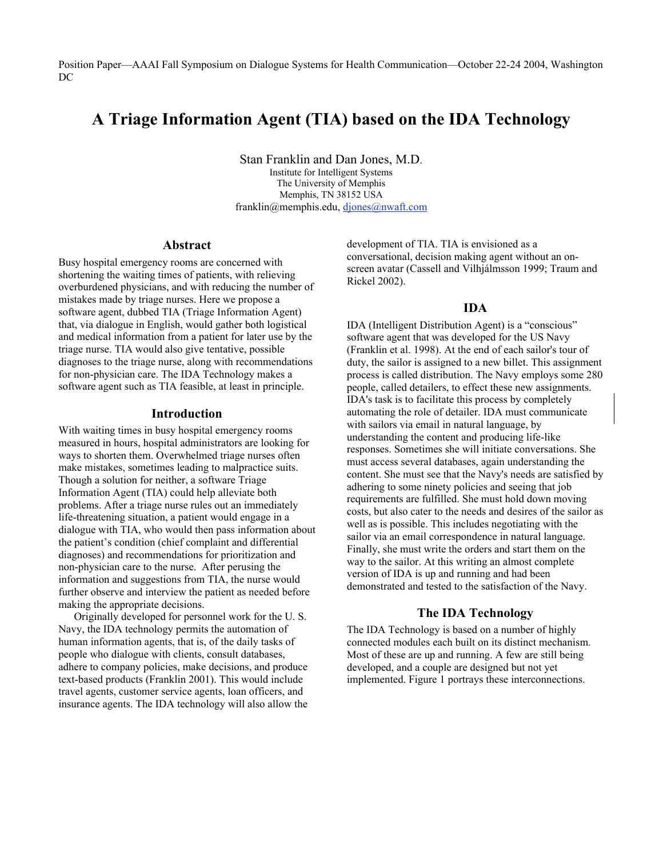Position Paper—AAAI Fall Symposium on Dialogue Systems for Health Communication—October 22-24 2004, Washington DC

# A Triage Information Agent (TIA) based on the IDA Technology

Stan Franklin and Dan Jones, M.D. Institute for Intelligent Systems The University of Memphis Memphis, TN 38152 USA franklin@memphis.edu, djones@nwaft.com

## Abstract

Busy hospital emergency rooms are concerned with shortening the waiting times of patients, with relieving overburdened physicians, and with reducing the number of mistakes made by triage nurses. Here we propose a software agent, dubbed TIA (Triage Information Agent) that, via dialogue in English, would gather both logistical and medical information from a patient for later use by the triage nurse. TIA would also give tentative, possible diagnoses to the triage nurse, along with recommendations for non-physician care. The IDA Technology makes a software agent such as TIA feasible, at least in principle.

#### Introduction

With waiting times in busy hospital emergency rooms measured in hours, hospital administrators are looking for ways to shorten them. Overwhelmed triage nurses often make mistakes, sometimes leading to malpractice suits. Though a solution for neither, a software Triage Information Agent (TIA) could help alleviate both problems. After a triage nurse rules out an immediately life-threatening situation, a patient would engage in a dialogue with TIA, who would then pass information about the patient's condition (chief complaint and differential diagnoses) and recommendations for prioritization and non-physician care to the nurse. After perusing the information and suggestions from TIA, the nurse would further observe and interview the patient as needed before making the appropriate decisions.

Originally developed for personnel work for the U. S. Navy, the IDA technology permits the automation of human information agents, that is, of the daily tasks of people who dialogue with clients, consult databases, adhere to company policies, make decisions, and produce text-based products (Franklin 2001). This would include travel agents, customer service agents, loan officers, and insurance agents. The IDA technology will also allow the development of TIA. TIA is envisioned as a conversational, decision making agent without an onscreen avatar (Cassell and Vilhjálmsson 1999; Traum and Rickel 2002).

#### IDA

IDA (Intelligent Distribution Agent) is a "conscious" software agent that was developed for the US Navy (Franklin et al. 1998). At the end of each sailor's tour of duty, the sailor is assigned to a new billet. This assignment process is called distribution. The Navy employs some 280 people, called detailers, to effect these new assignments. IDA's task is to facilitate this process by completely automating the role of detailer. IDA must communicate with sailors via email in natural language, by understanding the content and producing life-like responses. Sometimes she will initiate conversations. She must access several databases, again understanding the content. She must see that the Navy's needs are satisfied by adhering to some ninety policies and seeing that job requirements are fulfilled. She must hold down moving costs, but also cater to the needs and desires of the sailor as well as is possible. This includes negotiating with the sailor via an email correspondence in natural language. Finally, she must write the orders and start them on the way to the sailor. At this writing an almost complete version of IDA is up and running and had been demonstrated and tested to the satisfaction of the Navy.

## The IDA Technology

The IDA Technology is based on a number of highly connected modules each built on its distinct mechanism. Most of these are up and running. A few are still being developed, and a couple are designed but not yet implemented. Figure 1 portrays these interconnections.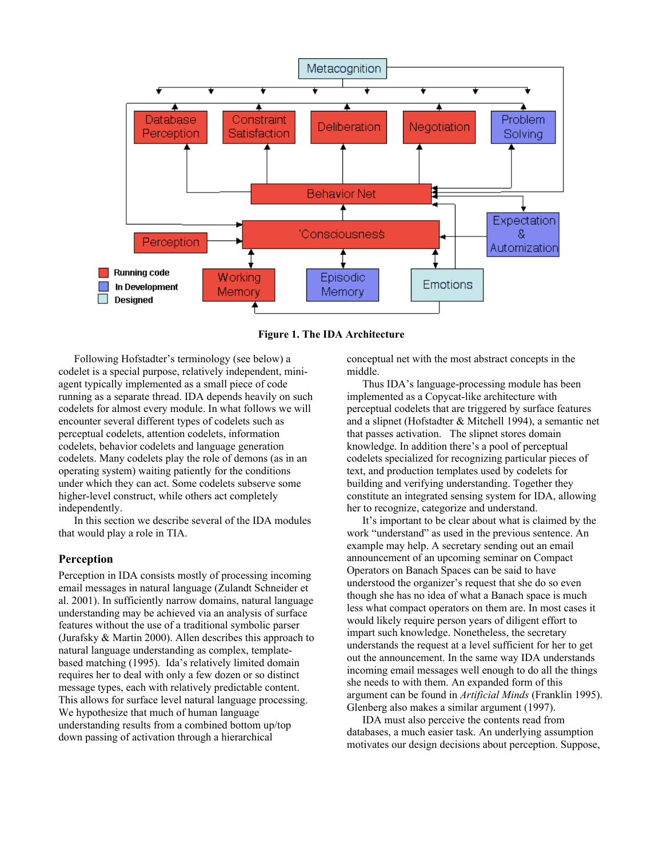

Figure 1. The IDA Architecture

Following Hofstadter's terminology (see below) a codelet is a special purpose, relatively independent, miniagent typically implemented as a small piece of code running as a separate thread. IDA depends heavily on such codelets for almost every module. In what follows we will encounter several different types of codelets such as perceptual codelets, attention codelets, information codelets, behavior codelets and language generation codelets. Many codelets play the role of demons (as in an operating system) waiting patiently for the conditions under which they can act. Some codelets subserve some higher-level construct, while others act completely independently.

In this section we describe several of the IDA modules that would play a role in TIA.

## Perception

Perception in IDA consists mostly of processing incoming email messages in natural language (Zulandt Schneider et al. 2001). In sufficiently narrow domains, natural language understanding may be achieved via an analysis of surface features without the use of a traditional symbolic parser (Jurafsky & Martin 2000). Allen describes this approach to natural language understanding as complex, templatebased matching (1995). Ida's relatively limited domain requires her to deal with only a few dozen or so distinct message types, each with relatively predictable content. This allows for surface level natural language processing. We hypothesize that much of human language understanding results from a combined bottom up/top down passing of activation through a hierarchical

conceptual net with the most abstract concepts in the middle.

Thus IDA's language-processing module has been implemented as a Copycat-like architecture with perceptual codelets that are triggered by surface features and a slipnet (Hofstadter & Mitchell 1994), a semantic net that passes activation. The slipnet stores domain knowledge. In addition there's a pool of perceptual codelets specialized for recognizing particular pieces of text, and production templates used by codelets for building and verifying understanding. Together they constitute an integrated sensing system for IDA, allowing her to recognize, categorize and understand.

It's important to be clear about what is claimed by the work "understand" as used in the previous sentence. An example may help. A secretary sending out an email announcement of an upcoming seminar on Compact Operators on Banach Spaces can be said to have understood the organizer's request that she do so even though she has no idea of what a Banach space is much less what compact operators on them are. In most cases it would likely require person years of diligent effort to impart such knowledge. Nonetheless, the secretary understands the request at a level sufficient for her to get out the announcement. In the same way IDA understands incoming email messages well enough to do all the things she needs to with them. An expanded form of this argument can be found in *Artificial Minds* (Franklin 1995). Glenberg also makes a similar argument (1997).

IDA must also perceive the contents read from databases, a much easier task. An underlying assumption motivates our design decisions about perception. Suppose,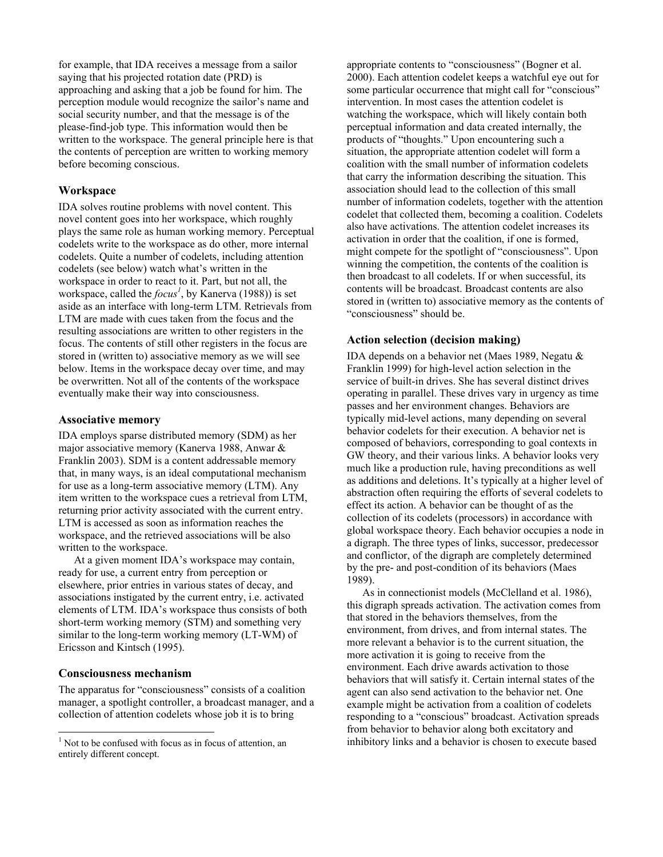for example, that IDA receives a message from a sailor saying that his projected rotation date (PRD) is approaching and asking that a job be found for him. The perception module would recognize the sailor's name and social security number, and that the message is of the please-find-job type. This information would then be written to the workspace. The general principle here is that the contents of perception are written to working memory before becoming conscious.

## **Workspace**

IDA solves routine problems with novel content. This novel content goes into her workspace, which roughly plays the same role as human working memory. Perceptual codelets write to the workspace as do other, more internal codelets. Quite a number of codelets, including attention codelets (see below) watch what's written in the workspace in order to react to it. Part, but not all, the workspace, called the *focus<sup>1</sup>* , by Kanerva (1988)) is set aside as an interface with long-term LTM. Retrievals from LTM are made with cues taken from the focus and the resulting associations are written to other registers in the focus. The contents of still other registers in the focus are stored in (written to) associative memory as we will see below. Items in the workspace decay over time, and may be overwritten. Not all of the contents of the workspace eventually make their way into consciousness.

#### Associative memory

IDA employs sparse distributed memory (SDM) as her major associative memory (Kanerva 1988, Anwar & Franklin 2003). SDM is a content addressable memory that, in many ways, is an ideal computational mechanism for use as a long-term associative memory (LTM). Any item written to the workspace cues a retrieval from LTM, returning prior activity associated with the current entry. LTM is accessed as soon as information reaches the workspace, and the retrieved associations will be also written to the workspace.

At a given moment IDA's workspace may contain, ready for use, a current entry from perception or elsewhere, prior entries in various states of decay, and associations instigated by the current entry, i.e. activated elements of LTM. IDA's workspace thus consists of both short-term working memory (STM) and something very similar to the long-term working memory (LT-WM) of Ericsson and Kintsch (1995).

#### Consciousness mechanism

The apparatus for "consciousness" consists of a coalition manager, a spotlight controller, a broadcast manager, and a collection of attention codelets whose job it is to bring

appropriate contents to "consciousness" (Bogner et al. 2000). Each attention codelet keeps a watchful eye out for some particular occurrence that might call for "conscious" intervention. In most cases the attention codelet is watching the workspace, which will likely contain both perceptual information and data created internally, the products of "thoughts." Upon encountering such a situation, the appropriate attention codelet will form a coalition with the small number of information codelets that carry the information describing the situation. This association should lead to the collection of this small number of information codelets, together with the attention codelet that collected them, becoming a coalition. Codelets also have activations. The attention codelet increases its activation in order that the coalition, if one is formed, might compete for the spotlight of "consciousness". Upon winning the competition, the contents of the coalition is then broadcast to all codelets. If or when successful, its contents will be broadcast. Broadcast contents are also stored in (written to) associative memory as the contents of "consciousness" should be.

## Action selection (decision making)

IDA depends on a behavior net (Maes 1989, Negatu & Franklin 1999) for high-level action selection in the service of built-in drives. She has several distinct drives operating in parallel. These drives vary in urgency as time passes and her environment changes. Behaviors are typically mid-level actions, many depending on several behavior codelets for their execution. A behavior net is composed of behaviors, corresponding to goal contexts in GW theory, and their various links. A behavior looks very much like a production rule, having preconditions as well as additions and deletions. It's typically at a higher level of abstraction often requiring the efforts of several codelets to effect its action. A behavior can be thought of as the collection of its codelets (processors) in accordance with global workspace theory. Each behavior occupies a node in a digraph. The three types of links, successor, predecessor and conflictor, of the digraph are completely determined by the pre- and post-condition of its behaviors (Maes 1989).

As in connectionist models (McClelland et al. 1986), this digraph spreads activation. The activation comes from that stored in the behaviors themselves, from the environment, from drives, and from internal states. The more relevant a behavior is to the current situation, the more activation it is going to receive from the environment. Each drive awards activation to those behaviors that will satisfy it. Certain internal states of the agent can also send activation to the behavior net. One example might be activation from a coalition of codelets responding to a "conscious" broadcast. Activation spreads from behavior to behavior along both excitatory and inhibitory links and a behavior is chosen to execute based

<sup>|&</sup>lt;br>|<br>|  $1$  Not to be confused with focus as in focus of attention, an entirely different concept.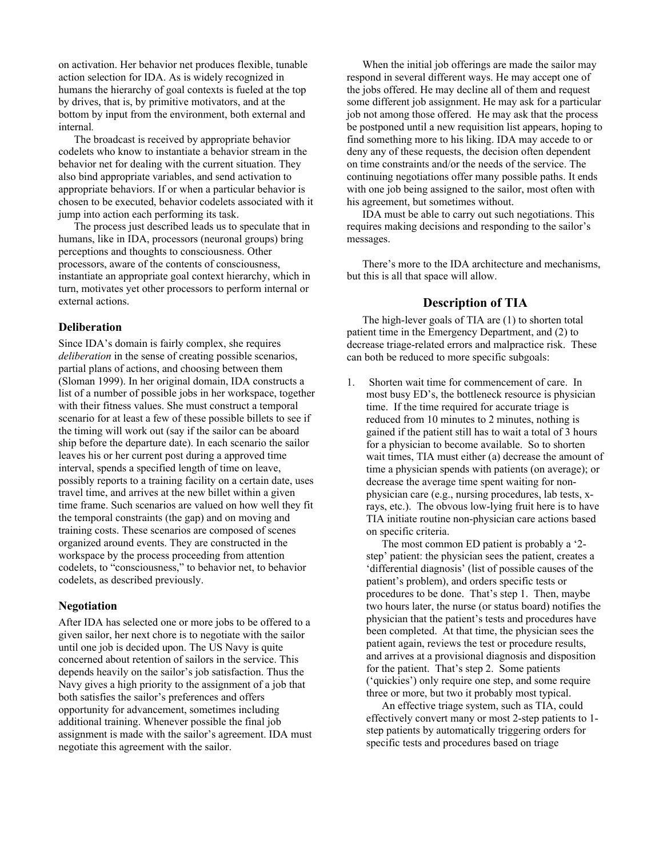on activation. Her behavior net produces flexible, tunable action selection for IDA. As is widely recognized in humans the hierarchy of goal contexts is fueled at the top by drives, that is, by primitive motivators, and at the bottom by input from the environment, both external and internal*.*

The broadcast is received by appropriate behavior codelets who know to instantiate a behavior stream in the behavior net for dealing with the current situation. They also bind appropriate variables, and send activation to appropriate behaviors. If or when a particular behavior is chosen to be executed, behavior codelets associated with it jump into action each performing its task.

The process just described leads us to speculate that in humans, like in IDA, processors (neuronal groups) bring perceptions and thoughts to consciousness. Other processors, aware of the contents of consciousness, instantiate an appropriate goal context hierarchy, which in turn, motivates yet other processors to perform internal or external actions.

## Deliberation

Since IDA's domain is fairly complex, she requires *deliberation* in the sense of creating possible scenarios, partial plans of actions, and choosing between them (Sloman 1999). In her original domain, IDA constructs a list of a number of possible jobs in her workspace, together with their fitness values. She must construct a temporal scenario for at least a few of these possible billets to see if the timing will work out (say if the sailor can be aboard ship before the departure date). In each scenario the sailor leaves his or her current post during a approved time interval, spends a specified length of time on leave, possibly reports to a training facility on a certain date, uses travel time, and arrives at the new billet within a given time frame. Such scenarios are valued on how well they fit the temporal constraints (the gap) and on moving and training costs. These scenarios are composed of scenes organized around events. They are constructed in the workspace by the process proceeding from attention codelets, to "consciousness," to behavior net, to behavior codelets, as described previously.

## Negotiation

After IDA has selected one or more jobs to be offered to a given sailor, her next chore is to negotiate with the sailor until one job is decided upon. The US Navy is quite concerned about retention of sailors in the service. This depends heavily on the sailor's job satisfaction. Thus the Navy gives a high priority to the assignment of a job that both satisfies the sailor's preferences and offers opportunity for advancement, sometimes including additional training. Whenever possible the final job assignment is made with the sailor's agreement. IDA must negotiate this agreement with the sailor.

When the initial job offerings are made the sailor may respond in several different ways. He may accept one of the jobs offered. He may decline all of them and request some different job assignment. He may ask for a particular job not among those offered. He may ask that the process be postponed until a new requisition list appears, hoping to find something more to his liking. IDA may accede to or deny any of these requests, the decision often dependent on time constraints and/or the needs of the service. The continuing negotiations offer many possible paths. It ends with one job being assigned to the sailor, most often with his agreement, but sometimes without.

IDA must be able to carry out such negotiations. This requires making decisions and responding to the sailor's messages.

There's more to the IDA architecture and mechanisms, but this is all that space will allow.

# Description of TIA

The high-lever goals of TIA are (1) to shorten total patient time in the Emergency Department, and (2) to decrease triage-related errors and malpractice risk. These can both be reduced to more specific subgoals:

1. Shorten wait time for commencement of care. In most busy ED's, the bottleneck resource is physician time. If the time required for accurate triage is reduced from 10 minutes to 2 minutes, nothing is gained if the patient still has to wait a total of 3 hours for a physician to become available. So to shorten wait times, TIA must either (a) decrease the amount of time a physician spends with patients (on average); or decrease the average time spent waiting for nonphysician care (e.g., nursing procedures, lab tests, xrays, etc.). The obvous low-lying fruit here is to have TIA initiate routine non-physician care actions based on specific criteria.

The most common ED patient is probably a '2 step' patient: the physician sees the patient, creates a 'differential diagnosis' (list of possible causes of the patient's problem), and orders specific tests or procedures to be done. That's step 1. Then, maybe two hours later, the nurse (or status board) notifies the physician that the patient's tests and procedures have been completed. At that time, the physician sees the patient again, reviews the test or procedure results, and arrives at a provisional diagnosis and disposition for the patient. That's step 2. Some patients ('quickies') only require one step, and some require three or more, but two it probably most typical.

An effective triage system, such as TIA, could effectively convert many or most 2-step patients to 1 step patients by automatically triggering orders for specific tests and procedures based on triage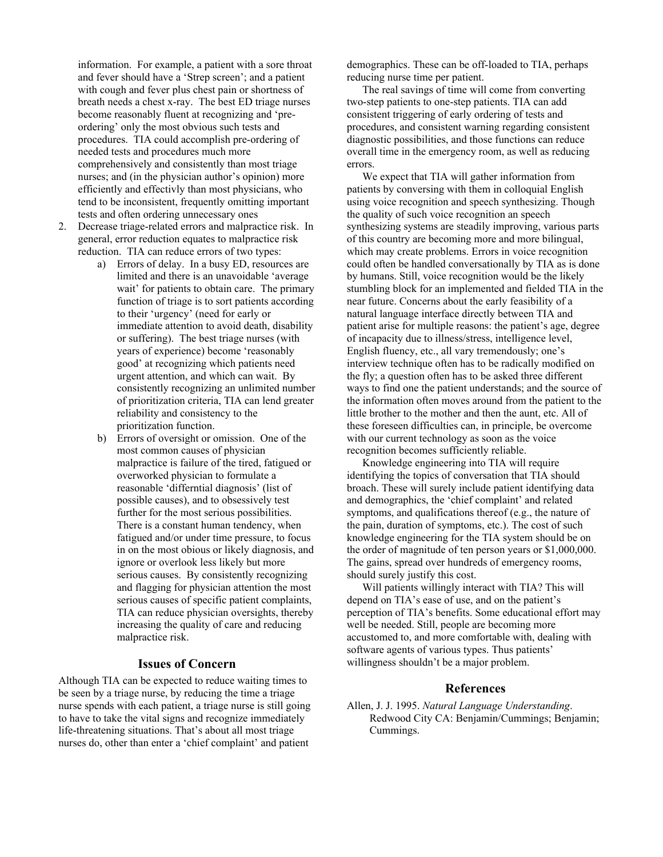information. For example, a patient with a sore throat and fever should have a 'Strep screen'; and a patient with cough and fever plus chest pain or shortness of breath needs a chest x-ray. The best ED triage nurses become reasonably fluent at recognizing and 'preordering' only the most obvious such tests and procedures. TIA could accomplish pre-ordering of needed tests and procedures much more comprehensively and consistently than most triage nurses; and (in the physician author's opinion) more efficiently and effectivly than most physicians, who tend to be inconsistent, frequently omitting important tests and often ordering unnecessary ones

- 2. Decrease triage-related errors and malpractice risk. In general, error reduction equates to malpractice risk reduction. TIA can reduce errors of two types:
	- a) Errors of delay. In a busy ED, resources are limited and there is an unavoidable 'average wait' for patients to obtain care. The primary function of triage is to sort patients according to their 'urgency' (need for early or immediate attention to avoid death, disability or suffering). The best triage nurses (with years of experience) become 'reasonably good' at recognizing which patients need urgent attention, and which can wait. By consistently recognizing an unlimited number of prioritization criteria, TIA can lend greater reliability and consistency to the prioritization function.
	- b) Errors of oversight or omission. One of the most common causes of physician malpractice is failure of the tired, fatigued or overworked physician to formulate a reasonable 'differntial diagnosis' (list of possible causes), and to obsessively test further for the most serious possibilities. There is a constant human tendency, when fatigued and/or under time pressure, to focus in on the most obious or likely diagnosis, and ignore or overlook less likely but more serious causes. By consistently recognizing and flagging for physician attention the most serious causes of specific patient complaints, TIA can reduce physician oversights, thereby increasing the quality of care and reducing malpractice risk.

## Issues of Concern

Although TIA can be expected to reduce waiting times to be seen by a triage nurse, by reducing the time a triage nurse spends with each patient, a triage nurse is still going to have to take the vital signs and recognize immediately life-threatening situations. That's about all most triage nurses do, other than enter a 'chief complaint' and patient

demographics. These can be off-loaded to TIA, perhaps reducing nurse time per patient.

The real savings of time will come from converting two-step patients to one-step patients. TIA can add consistent triggering of early ordering of tests and procedures, and consistent warning regarding consistent diagnostic possibilities, and those functions can reduce overall time in the emergency room, as well as reducing errors.

We expect that TIA will gather information from patients by conversing with them in colloquial English using voice recognition and speech synthesizing. Though the quality of such voice recognition an speech synthesizing systems are steadily improving, various parts of this country are becoming more and more bilingual, which may create problems. Errors in voice recognition could often be handled conversationally by TIA as is done by humans. Still, voice recognition would be the likely stumbling block for an implemented and fielded TIA in the near future. Concerns about the early feasibility of a natural language interface directly between TIA and patient arise for multiple reasons: the patient's age, degree of incapacity due to illness/stress, intelligence level, English fluency, etc., all vary tremendously; one's interview technique often has to be radically modified on the fly; a question often has to be asked three different ways to find one the patient understands; and the source of the information often moves around from the patient to the little brother to the mother and then the aunt, etc. All of these foreseen difficulties can, in principle, be overcome with our current technology as soon as the voice recognition becomes sufficiently reliable.

Knowledge engineering into TIA will require identifying the topics of conversation that TIA should broach. These will surely include patient identifying data and demographics, the 'chief complaint' and related symptoms, and qualifications thereof (e.g., the nature of the pain, duration of symptoms, etc.). The cost of such knowledge engineering for the TIA system should be on the order of magnitude of ten person years or \$1,000,000. The gains, spread over hundreds of emergency rooms, should surely justify this cost.

Will patients willingly interact with TIA? This will depend on TIA's ease of use, and on the patient's perception of TIA's benefits. Some educational effort may well be needed. Still, people are becoming more accustomed to, and more comfortable with, dealing with software agents of various types. Thus patients' willingness shouldn't be a major problem.

#### References

Allen, J. J. 1995. *Natural Language Understanding*. Redwood City CA: Benjamin/Cummings; Benjamin; Cummings.